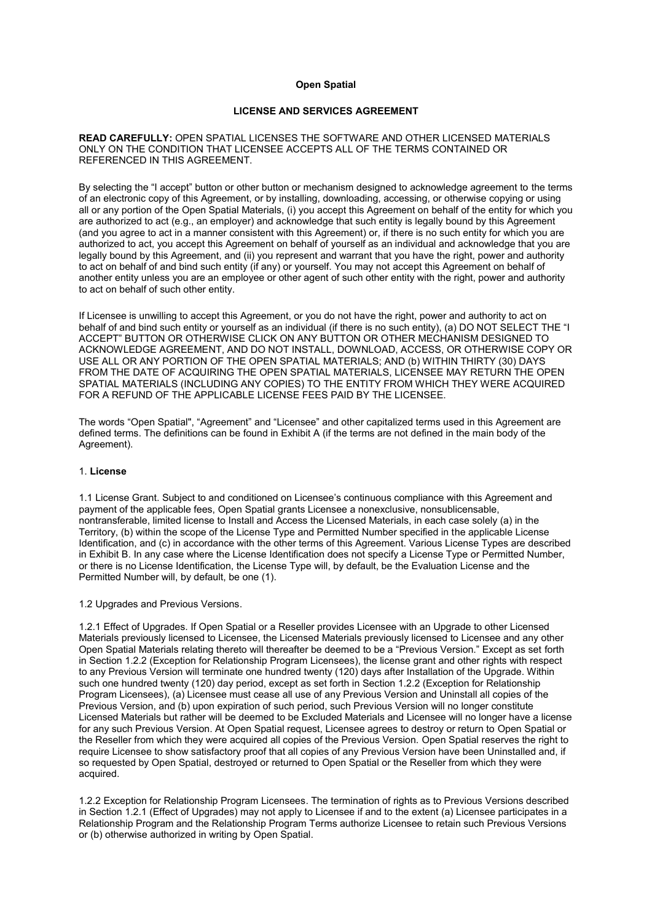# **Open Spatial**

# **LICENSE AND SERVICES AGREEMENT**

## **READ CAREFULLY:** OPEN SPATIAL LICENSES THE SOFTWARE AND OTHER LICENSED MATERIALS ONLY ON THE CONDITION THAT LICENSEE ACCEPTS ALL OF THE TERMS CONTAINED OR REFERENCED IN THIS AGREEMENT.

By selecting the "I accept" button or other button or mechanism designed to acknowledge agreement to the terms of an electronic copy of this Agreement, or by installing, downloading, accessing, or otherwise copying or using all or any portion of the Open Spatial Materials, (i) you accept this Agreement on behalf of the entity for which you are authorized to act (e.g., an employer) and acknowledge that such entity is legally bound by this Agreement (and you agree to act in a manner consistent with this Agreement) or, if there is no such entity for which you are authorized to act, you accept this Agreement on behalf of yourself as an individual and acknowledge that you are legally bound by this Agreement, and (ii) you represent and warrant that you have the right, power and authority to act on behalf of and bind such entity (if any) or yourself. You may not accept this Agreement on behalf of another entity unless you are an employee or other agent of such other entity with the right, power and authority to act on behalf of such other entity.

If Licensee is unwilling to accept this Agreement, or you do not have the right, power and authority to act on behalf of and bind such entity or yourself as an individual (if there is no such entity), (a) DO NOT SELECT THE "I ACCEPT" BUTTON OR OTHERWISE CLICK ON ANY BUTTON OR OTHER MECHANISM DESIGNED TO ACKNOWLEDGE AGREEMENT, AND DO NOT INSTALL, DOWNLOAD, ACCESS, OR OTHERWISE COPY OR USE ALL OR ANY PORTION OF THE OPEN SPATIAL MATERIALS; AND (b) WITHIN THIRTY (30) DAYS FROM THE DATE OF ACQUIRING THE OPEN SPATIAL MATERIALS, LICENSEE MAY RETURN THE OPEN SPATIAL MATERIALS (INCLUDING ANY COPIES) TO THE ENTITY FROM WHICH THEY WERE ACQUIRED FOR A REFUND OF THE APPLICABLE LICENSE FEES PAID BY THE LICENSEE.

The words "Open Spatial", "Agreement" and "Licensee" and other capitalized terms used in this Agreement are defined terms. The definitions can be found in Exhibit A (if the terms are not defined in the main body of the Agreement).

## 1. **License**

1.1 License Grant. Subject to and conditioned on Licensee's continuous compliance with this Agreement and payment of the applicable fees, Open Spatial grants Licensee a nonexclusive, nonsublicensable, nontransferable, limited license to Install and Access the Licensed Materials, in each case solely (a) in the Territory, (b) within the scope of the License Type and Permitted Number specified in the applicable License Identification, and (c) in accordance with the other terms of this Agreement. Various License Types are described in Exhibit B. In any case where the License Identification does not specify a License Type or Permitted Number, or there is no License Identification, the License Type will, by default, be the Evaluation License and the Permitted Number will, by default, be one (1).

1.2 Upgrades and Previous Versions.

1.2.1 Effect of Upgrades. If Open Spatial or a Reseller provides Licensee with an Upgrade to other Licensed Materials previously licensed to Licensee, the Licensed Materials previously licensed to Licensee and any other Open Spatial Materials relating thereto will thereafter be deemed to be a "Previous Version." Except as set forth in Section 1.2.2 (Exception for Relationship Program Licensees), the license grant and other rights with respect to any Previous Version will terminate one hundred twenty (120) days after Installation of the Upgrade. Within such one hundred twenty (120) day period, except as set forth in Section 1.2.2 (Exception for Relationship Program Licensees), (a) Licensee must cease all use of any Previous Version and Uninstall all copies of the Previous Version, and (b) upon expiration of such period, such Previous Version will no longer constitute Licensed Materials but rather will be deemed to be Excluded Materials and Licensee will no longer have a license for any such Previous Version. At Open Spatial request, Licensee agrees to destroy or return to Open Spatial or the Reseller from which they were acquired all copies of the Previous Version. Open Spatial reserves the right to require Licensee to show satisfactory proof that all copies of any Previous Version have been Uninstalled and, if so requested by Open Spatial, destroyed or returned to Open Spatial or the Reseller from which they were acquired.

1.2.2 Exception for Relationship Program Licensees. The termination of rights as to Previous Versions described in Section 1.2.1 (Effect of Upgrades) may not apply to Licensee if and to the extent (a) Licensee participates in a Relationship Program and the Relationship Program Terms authorize Licensee to retain such Previous Versions or (b) otherwise authorized in writing by Open Spatial.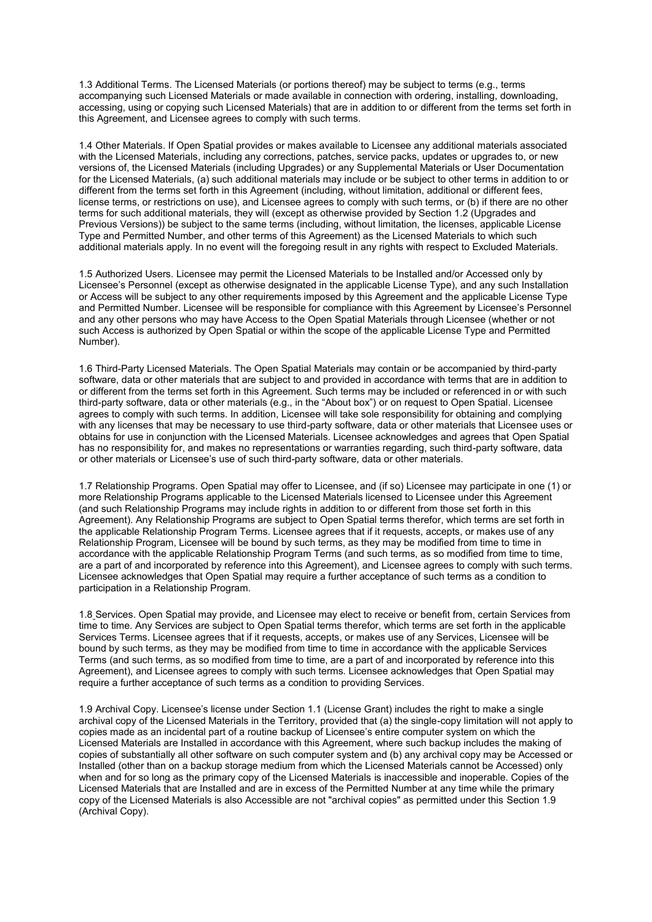1.3 Additional Terms. The Licensed Materials (or portions thereof) may be subject to terms (e.g., terms accompanying such Licensed Materials or made available in connection with ordering, installing, downloading, accessing, using or copying such Licensed Materials) that are in addition to or different from the terms set forth in this Agreement, and Licensee agrees to comply with such terms.

1.4 Other Materials. If Open Spatial provides or makes available to Licensee any additional materials associated with the Licensed Materials, including any corrections, patches, service packs, updates or upgrades to, or new versions of, the Licensed Materials (including Upgrades) or any Supplemental Materials or User Documentation for the Licensed Materials, (a) such additional materials may include or be subject to other terms in addition to or different from the terms set forth in this Agreement (including, without limitation, additional or different fees, license terms, or restrictions on use), and Licensee agrees to comply with such terms, or (b) if there are no other terms for such additional materials, they will (except as otherwise provided by Section 1.2 (Upgrades and Previous Versions)) be subject to the same terms (including, without limitation, the licenses, applicable License Type and Permitted Number, and other terms of this Agreement) as the Licensed Materials to which such additional materials apply. In no event will the foregoing result in any rights with respect to Excluded Materials.

1.5 Authorized Users. Licensee may permit the Licensed Materials to be Installed and/or Accessed only by Licensee's Personnel (except as otherwise designated in the applicable License Type), and any such Installation or Access will be subject to any other requirements imposed by this Agreement and the applicable License Type and Permitted Number. Licensee will be responsible for compliance with this Agreement by Licensee's Personnel and any other persons who may have Access to the Open Spatial Materials through Licensee (whether or not such Access is authorized by Open Spatial or within the scope of the applicable License Type and Permitted Number).

1.6 Third-Party Licensed Materials. The Open Spatial Materials may contain or be accompanied by third-party software, data or other materials that are subject to and provided in accordance with terms that are in addition to or different from the terms set forth in this Agreement. Such terms may be included or referenced in or with such third-party software, data or other materials (e.g., in the "About box") or on request to Open Spatial. Licensee agrees to comply with such terms. In addition, Licensee will take sole responsibility for obtaining and complying with any licenses that may be necessary to use third-party software, data or other materials that Licensee uses or obtains for use in conjunction with the Licensed Materials. Licensee acknowledges and agrees that Open Spatial has no responsibility for, and makes no representations or warranties regarding, such third-party software, data or other materials or Licensee's use of such third-party software, data or other materials.

1.7 Relationship Programs. Open Spatial may offer to Licensee, and (if so) Licensee may participate in one (1) or more Relationship Programs applicable to the Licensed Materials licensed to Licensee under this Agreement (and such Relationship Programs may include rights in addition to or different from those set forth in this Agreement). Any Relationship Programs are subject to Open Spatial terms therefor, which terms are set forth in the applicable Relationship Program Terms. Licensee agrees that if it requests, accepts, or makes use of any Relationship Program, Licensee will be bound by such terms, as they may be modified from time to time in accordance with the applicable Relationship Program Terms (and such terms, as so modified from time to time, are a part of and incorporated by reference into this Agreement), and Licensee agrees to comply with such terms. Licensee acknowledges that Open Spatial may require a further acceptance of such terms as a condition to participation in a Relationship Program.

1.8 Services. Open Spatial may provide, and Licensee may elect to receive or benefit from, certain Services from time to time. Any Services are subject to Open Spatial terms therefor, which terms are set forth in the applicable Services Terms. Licensee agrees that if it requests, accepts, or makes use of any Services, Licensee will be bound by such terms, as they may be modified from time to time in accordance with the applicable Services Terms (and such terms, as so modified from time to time, are a part of and incorporated by reference into this Agreement), and Licensee agrees to comply with such terms. Licensee acknowledges that Open Spatial may require a further acceptance of such terms as a condition to providing Services.

1.9 Archival Copy. Licensee's license under Section 1.1 (License Grant) includes the right to make a single archival copy of the Licensed Materials in the Territory, provided that (a) the single-copy limitation will not apply to copies made as an incidental part of a routine backup of Licensee's entire computer system on which the Licensed Materials are Installed in accordance with this Agreement, where such backup includes the making of copies of substantially all other software on such computer system and (b) any archival copy may be Accessed or Installed (other than on a backup storage medium from which the Licensed Materials cannot be Accessed) only when and for so long as the primary copy of the Licensed Materials is inaccessible and inoperable. Copies of the Licensed Materials that are Installed and are in excess of the Permitted Number at any time while the primary copy of the Licensed Materials is also Accessible are not "archival copies" as permitted under this Section 1.9 (Archival Copy).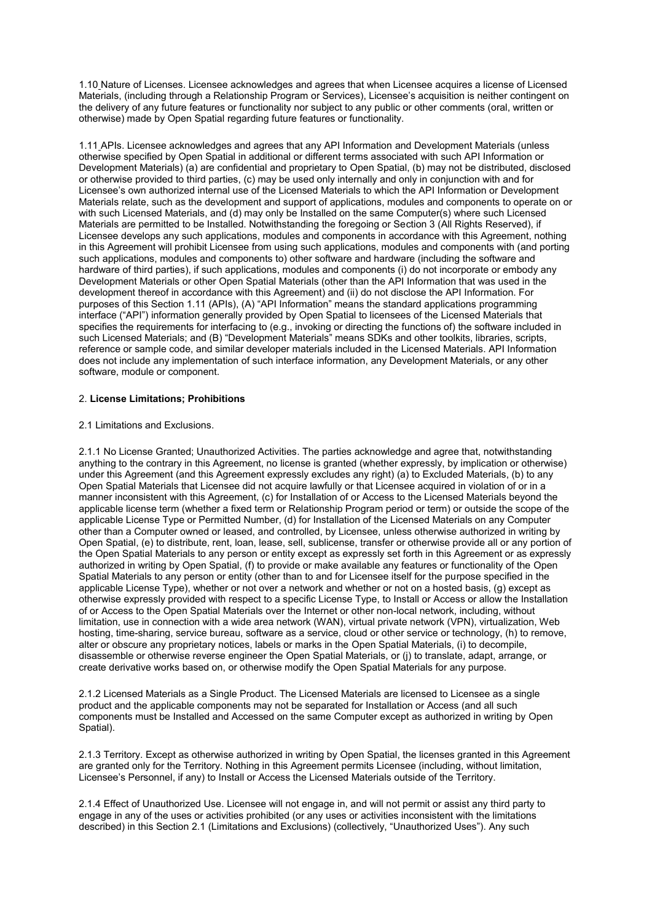1.10 Nature of Licenses. Licensee acknowledges and agrees that when Licensee acquires a license of Licensed Materials, (including through a Relationship Program or Services), Licensee's acquisition is neither contingent on the delivery of any future features or functionality nor subject to any public or other comments (oral, written or otherwise) made by Open Spatial regarding future features or functionality.

1.11 APIs. Licensee acknowledges and agrees that any API Information and Development Materials (unless otherwise specified by Open Spatial in additional or different terms associated with such API Information or Development Materials) (a) are confidential and proprietary to Open Spatial, (b) may not be distributed, disclosed or otherwise provided to third parties, (c) may be used only internally and only in conjunction with and for Licensee's own authorized internal use of the Licensed Materials to which the API Information or Development Materials relate, such as the development and support of applications, modules and components to operate on or with such Licensed Materials, and (d) may only be Installed on the same Computer(s) where such Licensed Materials are permitted to be Installed. Notwithstanding the foregoing or Section 3 (All Rights Reserved), if Licensee develops any such applications, modules and components in accordance with this Agreement, nothing in this Agreement will prohibit Licensee from using such applications, modules and components with (and porting such applications, modules and components to) other software and hardware (including the software and hardware of third parties), if such applications, modules and components (i) do not incorporate or embody any Development Materials or other Open Spatial Materials (other than the API Information that was used in the development thereof in accordance with this Agreement) and (ii) do not disclose the API Information. For purposes of this Section 1.11 (APIs), (A) "API Information" means the standard applications programming interface ("API") information generally provided by Open Spatial to licensees of the Licensed Materials that specifies the requirements for interfacing to (e.g., invoking or directing the functions of) the software included in such Licensed Materials; and (B) "Development Materials" means SDKs and other toolkits, libraries, scripts, reference or sample code, and similar developer materials included in the Licensed Materials. API Information does not include any implementation of such interface information, any Development Materials, or any other software, module or component.

## 2. **License Limitations; Prohibitions**

## 2.1 Limitations and Exclusions.

2.1.1 No License Granted; Unauthorized Activities. The parties acknowledge and agree that, notwithstanding anything to the contrary in this Agreement, no license is granted (whether expressly, by implication or otherwise) under this Agreement (and this Agreement expressly excludes any right) (a) to Excluded Materials, (b) to any Open Spatial Materials that Licensee did not acquire lawfully or that Licensee acquired in violation of or in a manner inconsistent with this Agreement, (c) for Installation of or Access to the Licensed Materials beyond the applicable license term (whether a fixed term or Relationship Program period or term) or outside the scope of the applicable License Type or Permitted Number, (d) for Installation of the Licensed Materials on any Computer other than a Computer owned or leased, and controlled, by Licensee, unless otherwise authorized in writing by Open Spatial, (e) to distribute, rent, loan, lease, sell, sublicense, transfer or otherwise provide all or any portion of the Open Spatial Materials to any person or entity except as expressly set forth in this Agreement or as expressly authorized in writing by Open Spatial, (f) to provide or make available any features or functionality of the Open Spatial Materials to any person or entity (other than to and for Licensee itself for the purpose specified in the applicable License Type), whether or not over a network and whether or not on a hosted basis, (g) except as otherwise expressly provided with respect to a specific License Type, to Install or Access or allow the Installation of or Access to the Open Spatial Materials over the Internet or other non-local network, including, without limitation, use in connection with a wide area network (WAN), virtual private network (VPN), virtualization, Web hosting, time-sharing, service bureau, software as a service, cloud or other service or technology, (h) to remove, alter or obscure any proprietary notices, labels or marks in the Open Spatial Materials, (i) to decompile, disassemble or otherwise reverse engineer the Open Spatial Materials, or (j) to translate, adapt, arrange, or create derivative works based on, or otherwise modify the Open Spatial Materials for any purpose.

2.1.2 Licensed Materials as a Single Product. The Licensed Materials are licensed to Licensee as a single product and the applicable components may not be separated for Installation or Access (and all such components must be Installed and Accessed on the same Computer except as authorized in writing by Open Spatial).

2.1.3 Territory. Except as otherwise authorized in writing by Open Spatial, the licenses granted in this Agreement are granted only for the Territory. Nothing in this Agreement permits Licensee (including, without limitation, Licensee's Personnel, if any) to Install or Access the Licensed Materials outside of the Territory.

2.1.4 Effect of Unauthorized Use. Licensee will not engage in, and will not permit or assist any third party to engage in any of the uses or activities prohibited (or any uses or activities inconsistent with the limitations described) in this Section 2.1 (Limitations and Exclusions) (collectively, "Unauthorized Uses"). Any such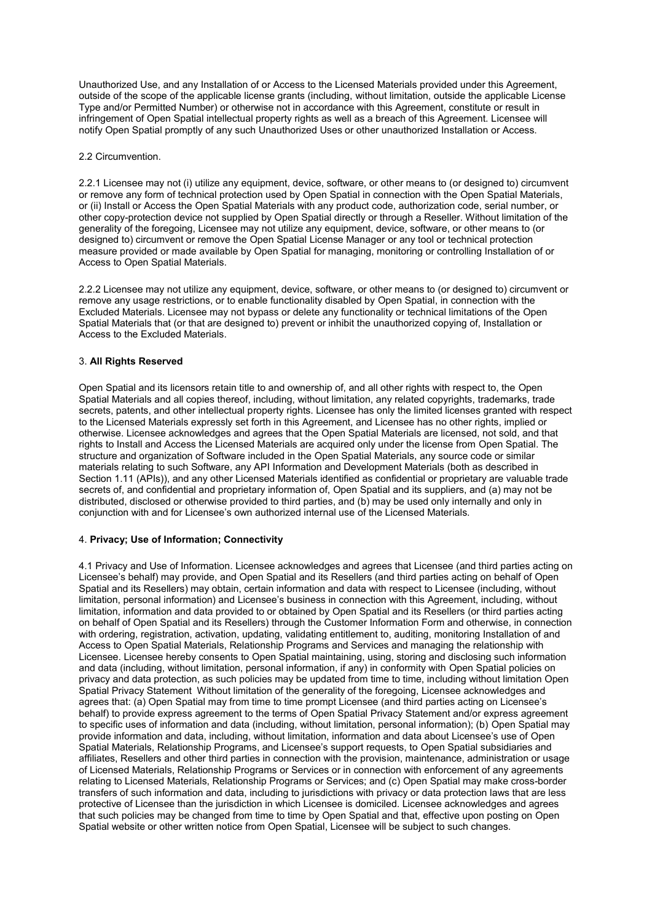Unauthorized Use, and any Installation of or Access to the Licensed Materials provided under this Agreement, outside of the scope of the applicable license grants (including, without limitation, outside the applicable License Type and/or Permitted Number) or otherwise not in accordance with this Agreement, constitute or result in infringement of Open Spatial intellectual property rights as well as a breach of this Agreement. Licensee will notify Open Spatial promptly of any such Unauthorized Uses or other unauthorized Installation or Access.

2.2 Circumvention.

2.2.1 Licensee may not (i) utilize any equipment, device, software, or other means to (or designed to) circumvent or remove any form of technical protection used by Open Spatial in connection with the Open Spatial Materials, or (ii) Install or Access the Open Spatial Materials with any product code, authorization code, serial number, or other copy-protection device not supplied by Open Spatial directly or through a Reseller. Without limitation of the generality of the foregoing, Licensee may not utilize any equipment, device, software, or other means to (or designed to) circumvent or remove the Open Spatial License Manager or any tool or technical protection measure provided or made available by Open Spatial for managing, monitoring or controlling Installation of or Access to Open Spatial Materials.

2.2.2 Licensee may not utilize any equipment, device, software, or other means to (or designed to) circumvent or remove any usage restrictions, or to enable functionality disabled by Open Spatial, in connection with the Excluded Materials. Licensee may not bypass or delete any functionality or technical limitations of the Open Spatial Materials that (or that are designed to) prevent or inhibit the unauthorized copying of, Installation or Access to the Excluded Materials.

# 3. **All Rights Reserved**

Open Spatial and its licensors retain title to and ownership of, and all other rights with respect to, the Open Spatial Materials and all copies thereof, including, without limitation, any related copyrights, trademarks, trade secrets, patents, and other intellectual property rights. Licensee has only the limited licenses granted with respect to the Licensed Materials expressly set forth in this Agreement, and Licensee has no other rights, implied or otherwise. Licensee acknowledges and agrees that the Open Spatial Materials are licensed, not sold, and that rights to Install and Access the Licensed Materials are acquired only under the license from Open Spatial. The structure and organization of Software included in the Open Spatial Materials, any source code or similar materials relating to such Software, any API Information and Development Materials (both as described in Section 1.11 (APIs)), and any other Licensed Materials identified as confidential or proprietary are valuable trade secrets of, and confidential and proprietary information of, Open Spatial and its suppliers, and (a) may not be distributed, disclosed or otherwise provided to third parties, and (b) may be used only internally and only in conjunction with and for Licensee's own authorized internal use of the Licensed Materials.

# 4. **Privacy; Use of Information; Connectivity**

4.1 Privacy and Use of Information. Licensee acknowledges and agrees that Licensee (and third parties acting on Licensee's behalf) may provide, and Open Spatial and its Resellers (and third parties acting on behalf of Open Spatial and its Resellers) may obtain, certain information and data with respect to Licensee (including, without limitation, personal information) and Licensee's business in connection with this Agreement, including, without limitation, information and data provided to or obtained by Open Spatial and its Resellers (or third parties acting on behalf of Open Spatial and its Resellers) through the Customer Information Form and otherwise, in connection with ordering, registration, activation, updating, validating entitlement to, auditing, monitoring Installation of and Access to Open Spatial Materials, Relationship Programs and Services and managing the relationship with Licensee. Licensee hereby consents to Open Spatial maintaining, using, storing and disclosing such information and data (including, without limitation, personal information, if any) in conformity with Open Spatial policies on privacy and data protection, as such policies may be updated from time to time, including without limitation Open Spatial Privacy Statement Without limitation of the generality of the foregoing, Licensee acknowledges and agrees that: (a) Open Spatial may from time to time prompt Licensee (and third parties acting on Licensee's behalf) to provide express agreement to the terms of Open Spatial Privacy Statement and/or express agreement to specific uses of information and data (including, without limitation, personal information); (b) Open Spatial may provide information and data, including, without limitation, information and data about Licensee's use of Open Spatial Materials, Relationship Programs, and Licensee's support requests, to Open Spatial subsidiaries and affiliates, Resellers and other third parties in connection with the provision, maintenance, administration or usage of Licensed Materials, Relationship Programs or Services or in connection with enforcement of any agreements relating to Licensed Materials, Relationship Programs or Services; and (c) Open Spatial may make cross-border transfers of such information and data, including to jurisdictions with privacy or data protection laws that are less protective of Licensee than the jurisdiction in which Licensee is domiciled. Licensee acknowledges and agrees that such policies may be changed from time to time by Open Spatial and that, effective upon posting on Open Spatial website or other written notice from Open Spatial, Licensee will be subject to such changes.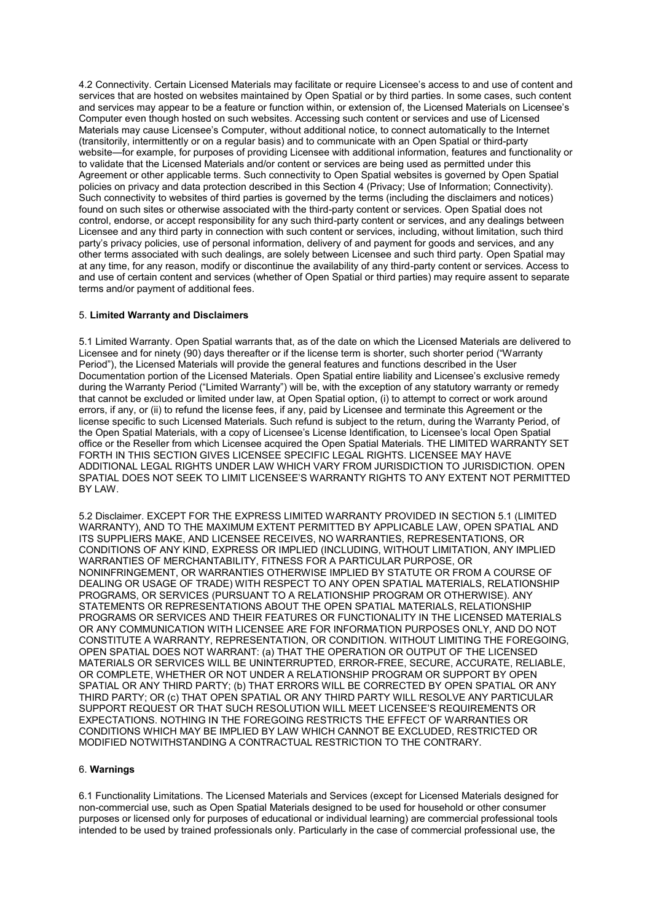4.2 Connectivity. Certain Licensed Materials may facilitate or require Licensee's access to and use of content and services that are hosted on websites maintained by Open Spatial or by third parties. In some cases, such content and services may appear to be a feature or function within, or extension of, the Licensed Materials on Licensee's Computer even though hosted on such websites. Accessing such content or services and use of Licensed Materials may cause Licensee's Computer, without additional notice, to connect automatically to the Internet (transitorily, intermittently or on a regular basis) and to communicate with an Open Spatial or third-party website—for example, for purposes of providing Licensee with additional information, features and functionality or to validate that the Licensed Materials and/or content or services are being used as permitted under this Agreement or other applicable terms. Such connectivity to Open Spatial websites is governed by Open Spatial policies on privacy and data protection described in this Section 4 (Privacy; Use of Information; Connectivity). Such connectivity to websites of third parties is governed by the terms (including the disclaimers and notices) found on such sites or otherwise associated with the third-party content or services. Open Spatial does not control, endorse, or accept responsibility for any such third-party content or services, and any dealings between Licensee and any third party in connection with such content or services, including, without limitation, such third party's privacy policies, use of personal information, delivery of and payment for goods and services, and any other terms associated with such dealings, are solely between Licensee and such third party. Open Spatial may at any time, for any reason, modify or discontinue the availability of any third-party content or services. Access to and use of certain content and services (whether of Open Spatial or third parties) may require assent to separate terms and/or payment of additional fees.

# 5. **Limited Warranty and Disclaimers**

5.1 Limited Warranty. Open Spatial warrants that, as of the date on which the Licensed Materials are delivered to Licensee and for ninety (90) days thereafter or if the license term is shorter, such shorter period ("Warranty Period"), the Licensed Materials will provide the general features and functions described in the User Documentation portion of the Licensed Materials. Open Spatial entire liability and Licensee's exclusive remedy during the Warranty Period ("Limited Warranty") will be, with the exception of any statutory warranty or remedy that cannot be excluded or limited under law, at Open Spatial option, (i) to attempt to correct or work around errors, if any, or (ii) to refund the license fees, if any, paid by Licensee and terminate this Agreement or the license specific to such Licensed Materials. Such refund is subject to the return, during the Warranty Period, of the Open Spatial Materials, with a copy of Licensee's License Identification, to Licensee's local Open Spatial office or the Reseller from which Licensee acquired the Open Spatial Materials. THE LIMITED WARRANTY SET FORTH IN THIS SECTION GIVES LICENSEE SPECIFIC LEGAL RIGHTS. LICENSEE MAY HAVE ADDITIONAL LEGAL RIGHTS UNDER LAW WHICH VARY FROM JURISDICTION TO JURISDICTION. OPEN SPATIAL DOES NOT SEEK TO LIMIT LICENSEE'S WARRANTY RIGHTS TO ANY EXTENT NOT PERMITTED BY LAW.

5.2 Disclaimer. EXCEPT FOR THE EXPRESS LIMITED WARRANTY PROVIDED IN SECTION 5.1 (LIMITED WARRANTY), AND TO THE MAXIMUM EXTENT PERMITTED BY APPLICABLE LAW, OPEN SPATIAL AND ITS SUPPLIERS MAKE, AND LICENSEE RECEIVES, NO WARRANTIES, REPRESENTATIONS, OR CONDITIONS OF ANY KIND, EXPRESS OR IMPLIED (INCLUDING, WITHOUT LIMITATION, ANY IMPLIED WARRANTIES OF MERCHANTABILITY, FITNESS FOR A PARTICULAR PURPOSE, OR NONINFRINGEMENT, OR WARRANTIES OTHERWISE IMPLIED BY STATUTE OR FROM A COURSE OF DEALING OR USAGE OF TRADE) WITH RESPECT TO ANY OPEN SPATIAL MATERIALS, RELATIONSHIP PROGRAMS, OR SERVICES (PURSUANT TO A RELATIONSHIP PROGRAM OR OTHERWISE). ANY STATEMENTS OR REPRESENTATIONS ABOUT THE OPEN SPATIAL MATERIALS, RELATIONSHIP PROGRAMS OR SERVICES AND THEIR FEATURES OR FUNCTIONALITY IN THE LICENSED MATERIALS OR ANY COMMUNICATION WITH LICENSEE ARE FOR INFORMATION PURPOSES ONLY, AND DO NOT CONSTITUTE A WARRANTY, REPRESENTATION, OR CONDITION. WITHOUT LIMITING THE FOREGOING, OPEN SPATIAL DOES NOT WARRANT: (a) THAT THE OPERATION OR OUTPUT OF THE LICENSED MATERIALS OR SERVICES WILL BE UNINTERRUPTED, ERROR-FREE, SECURE, ACCURATE, RELIABLE, OR COMPLETE, WHETHER OR NOT UNDER A RELATIONSHIP PROGRAM OR SUPPORT BY OPEN SPATIAL OR ANY THIRD PARTY; (b) THAT ERRORS WILL BE CORRECTED BY OPEN SPATIAL OR ANY THIRD PARTY; OR (c) THAT OPEN SPATIAL OR ANY THIRD PARTY WILL RESOLVE ANY PARTICULAR SUPPORT REQUEST OR THAT SUCH RESOLUTION WILL MEET LICENSEE'S REQUIREMENTS OR EXPECTATIONS. NOTHING IN THE FOREGOING RESTRICTS THE EFFECT OF WARRANTIES OR CONDITIONS WHICH MAY BE IMPLIED BY LAW WHICH CANNOT BE EXCLUDED, RESTRICTED OR MODIFIED NOTWITHSTANDING A CONTRACTUAL RESTRICTION TO THE CONTRARY.

## 6. **Warnings**

6.1 Functionality Limitations. The Licensed Materials and Services (except for Licensed Materials designed for non-commercial use, such as Open Spatial Materials designed to be used for household or other consumer purposes or licensed only for purposes of educational or individual learning) are commercial professional tools intended to be used by trained professionals only. Particularly in the case of commercial professional use, the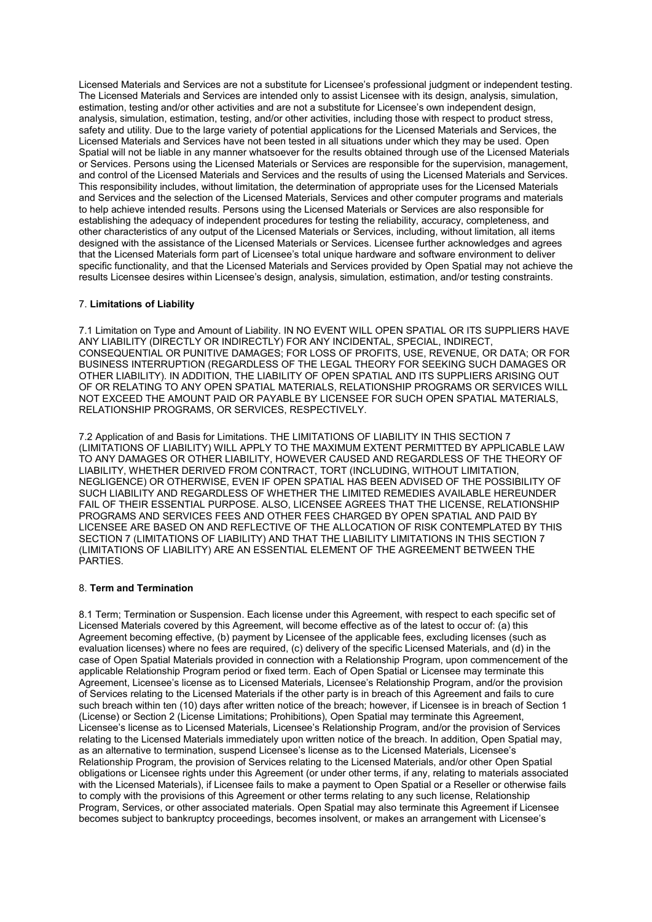Licensed Materials and Services are not a substitute for Licensee's professional judgment or independent testing. The Licensed Materials and Services are intended only to assist Licensee with its design, analysis, simulation, estimation, testing and/or other activities and are not a substitute for Licensee's own independent design, analysis, simulation, estimation, testing, and/or other activities, including those with respect to product stress, safety and utility. Due to the large variety of potential applications for the Licensed Materials and Services, the Licensed Materials and Services have not been tested in all situations under which they may be used. Open Spatial will not be liable in any manner whatsoever for the results obtained through use of the Licensed Materials or Services. Persons using the Licensed Materials or Services are responsible for the supervision, management, and control of the Licensed Materials and Services and the results of using the Licensed Materials and Services. This responsibility includes, without limitation, the determination of appropriate uses for the Licensed Materials and Services and the selection of the Licensed Materials, Services and other computer programs and materials to help achieve intended results. Persons using the Licensed Materials or Services are also responsible for establishing the adequacy of independent procedures for testing the reliability, accuracy, completeness, and other characteristics of any output of the Licensed Materials or Services, including, without limitation, all items designed with the assistance of the Licensed Materials or Services. Licensee further acknowledges and agrees that the Licensed Materials form part of Licensee's total unique hardware and software environment to deliver specific functionality, and that the Licensed Materials and Services provided by Open Spatial may not achieve the results Licensee desires within Licensee's design, analysis, simulation, estimation, and/or testing constraints.

# 7. **Limitations of Liability**

7.1 Limitation on Type and Amount of Liability. IN NO EVENT WILL OPEN SPATIAL OR ITS SUPPLIERS HAVE ANY LIABILITY (DIRECTLY OR INDIRECTLY) FOR ANY INCIDENTAL, SPECIAL, INDIRECT, CONSEQUENTIAL OR PUNITIVE DAMAGES; FOR LOSS OF PROFITS, USE, REVENUE, OR DATA; OR FOR BUSINESS INTERRUPTION (REGARDLESS OF THE LEGAL THEORY FOR SEEKING SUCH DAMAGES OR OTHER LIABILITY). IN ADDITION, THE LIABILITY OF OPEN SPATIAL AND ITS SUPPLIERS ARISING OUT OF OR RELATING TO ANY OPEN SPATIAL MATERIALS, RELATIONSHIP PROGRAMS OR SERVICES WILL NOT EXCEED THE AMOUNT PAID OR PAYABLE BY LICENSEE FOR SUCH OPEN SPATIAL MATERIALS, RELATIONSHIP PROGRAMS, OR SERVICES, RESPECTIVELY.

7.2 Application of and Basis for Limitations. THE LIMITATIONS OF LIABILITY IN THIS SECTION 7 (LIMITATIONS OF LIABILITY) WILL APPLY TO THE MAXIMUM EXTENT PERMITTED BY APPLICABLE LAW TO ANY DAMAGES OR OTHER LIABILITY, HOWEVER CAUSED AND REGARDLESS OF THE THEORY OF LIABILITY, WHETHER DERIVED FROM CONTRACT, TORT (INCLUDING, WITHOUT LIMITATION, NEGLIGENCE) OR OTHERWISE, EVEN IF OPEN SPATIAL HAS BEEN ADVISED OF THE POSSIBILITY OF SUCH LIABILITY AND REGARDLESS OF WHETHER THE LIMITED REMEDIES AVAILABLE HEREUNDER FAIL OF THEIR ESSENTIAL PURPOSE. ALSO, LICENSEE AGREES THAT THE LICENSE, RELATIONSHIP PROGRAMS AND SERVICES FEES AND OTHER FEES CHARGED BY OPEN SPATIAL AND PAID BY LICENSEE ARE BASED ON AND REFLECTIVE OF THE ALLOCATION OF RISK CONTEMPLATED BY THIS SECTION 7 (LIMITATIONS OF LIABILITY) AND THAT THE LIABILITY LIMITATIONS IN THIS SECTION 7 (LIMITATIONS OF LIABILITY) ARE AN ESSENTIAL ELEMENT OF THE AGREEMENT BETWEEN THE **PARTIES.** 

## 8. **Term and Termination**

8.1 Term; Termination or Suspension. Each license under this Agreement, with respect to each specific set of Licensed Materials covered by this Agreement, will become effective as of the latest to occur of: (a) this Agreement becoming effective, (b) payment by Licensee of the applicable fees, excluding licenses (such as evaluation licenses) where no fees are required, (c) delivery of the specific Licensed Materials, and (d) in the case of Open Spatial Materials provided in connection with a Relationship Program, upon commencement of the applicable Relationship Program period or fixed term. Each of Open Spatial or Licensee may terminate this Agreement, Licensee's license as to Licensed Materials, Licensee's Relationship Program, and/or the provision of Services relating to the Licensed Materials if the other party is in breach of this Agreement and fails to cure such breach within ten (10) days after written notice of the breach; however, if Licensee is in breach of Section 1 (License) or Section 2 (License Limitations; Prohibitions), Open Spatial may terminate this Agreement, Licensee's license as to Licensed Materials, Licensee's Relationship Program, and/or the provision of Services relating to the Licensed Materials immediately upon written notice of the breach. In addition, Open Spatial may, as an alternative to termination, suspend Licensee's license as to the Licensed Materials, Licensee's Relationship Program, the provision of Services relating to the Licensed Materials, and/or other Open Spatial obligations or Licensee rights under this Agreement (or under other terms, if any, relating to materials associated with the Licensed Materials), if Licensee fails to make a payment to Open Spatial or a Reseller or otherwise fails to comply with the provisions of this Agreement or other terms relating to any such license, Relationship Program, Services, or other associated materials. Open Spatial may also terminate this Agreement if Licensee becomes subject to bankruptcy proceedings, becomes insolvent, or makes an arrangement with Licensee's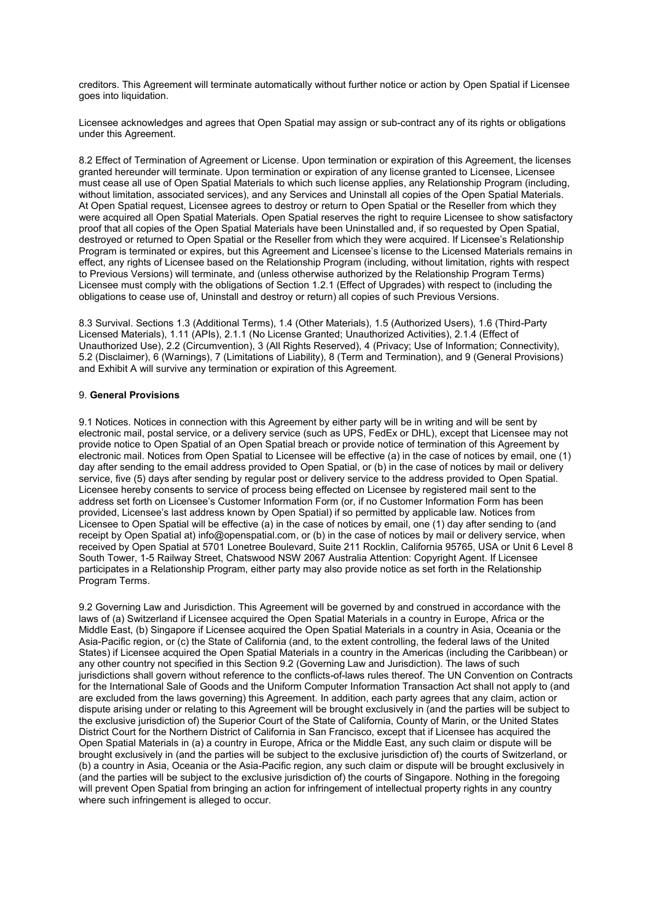creditors. This Agreement will terminate automatically without further notice or action by Open Spatial if Licensee goes into liquidation.

Licensee acknowledges and agrees that Open Spatial may assign or sub-contract any of its rights or obligations under this Agreement.

8.2 Effect of Termination of Agreement or License. Upon termination or expiration of this Agreement, the licenses granted hereunder will terminate. Upon termination or expiration of any license granted to Licensee, Licensee must cease all use of Open Spatial Materials to which such license applies, any Relationship Program (including, without limitation, associated services), and any Services and Uninstall all copies of the Open Spatial Materials. At Open Spatial request, Licensee agrees to destroy or return to Open Spatial or the Reseller from which they were acquired all Open Spatial Materials. Open Spatial reserves the right to require Licensee to show satisfactory proof that all copies of the Open Spatial Materials have been Uninstalled and, if so requested by Open Spatial, destroyed or returned to Open Spatial or the Reseller from which they were acquired. If Licensee's Relationship Program is terminated or expires, but this Agreement and Licensee's license to the Licensed Materials remains in effect, any rights of Licensee based on the Relationship Program (including, without limitation, rights with respect to Previous Versions) will terminate, and (unless otherwise authorized by the Relationship Program Terms) Licensee must comply with the obligations of Section 1.2.1 (Effect of Upgrades) with respect to (including the obligations to cease use of, Uninstall and destroy or return) all copies of such Previous Versions.

8.3 Survival. Sections 1.3 (Additional Terms), 1.4 (Other Materials), 1.5 (Authorized Users), 1.6 (Third-Party Licensed Materials), 1.11 (APIs), 2.1.1 (No License Granted; Unauthorized Activities), 2.1.4 (Effect of Unauthorized Use), 2.2 (Circumvention), 3 (All Rights Reserved), 4 (Privacy; Use of Information; Connectivity), 5.2 (Disclaimer), 6 (Warnings), 7 (Limitations of Liability), 8 (Term and Termination), and 9 (General Provisions) and Exhibit A will survive any termination or expiration of this Agreement.

## 9. **General Provisions**

9.1 Notices. Notices in connection with this Agreement by either party will be in writing and will be sent by electronic mail, postal service, or a delivery service (such as UPS, FedEx or DHL), except that Licensee may not provide notice to Open Spatial of an Open Spatial breach or provide notice of termination of this Agreement by electronic mail. Notices from Open Spatial to Licensee will be effective (a) in the case of notices by email, one (1) day after sending to the email address provided to Open Spatial, or (b) in the case of notices by mail or delivery service, five (5) days after sending by regular post or delivery service to the address provided to Open Spatial. Licensee hereby consents to service of process being effected on Licensee by registered mail sent to the address set forth on Licensee's Customer Information Form (or, if no Customer Information Form has been provided, Licensee's last address known by Open Spatial) if so permitted by applicable law. Notices from Licensee to Open Spatial will be effective (a) in the case of notices by email, one (1) day after sending to (and receipt by Open Spatial at) [info@openspatial.com,](mailto:info@openspatial.com) or (b) in the case of notices by mail or delivery service, when received by Open Spatial at 5701 Lonetree Boulevard, Suite 211 Rocklin, California 95765, USA or Unit 6 Level 8 South Tower, 1-5 Railway Street, Chatswood NSW 2067 Australia Attention: Copyright Agent. If Licensee participates in a Relationship Program, either party may also provide notice as set forth in the Relationship Program Terms.

9.2 Governing Law and Jurisdiction. This Agreement will be governed by and construed in accordance with the laws of (a) Switzerland if Licensee acquired the Open Spatial Materials in a country in Europe, Africa or the Middle East, (b) Singapore if Licensee acquired the Open Spatial Materials in a country in Asia, Oceania or the Asia-Pacific region, or (c) the State of California (and, to the extent controlling, the federal laws of the United States) if Licensee acquired the Open Spatial Materials in a country in the Americas (including the Caribbean) or any other country not specified in this Section 9.2 (Governing Law and Jurisdiction). The laws of such jurisdictions shall govern without reference to the conflicts-of-laws rules thereof. The UN Convention on Contracts for the International Sale of Goods and the Uniform Computer Information Transaction Act shall not apply to (and are excluded from the laws governing) this Agreement. In addition, each party agrees that any claim, action or dispute arising under or relating to this Agreement will be brought exclusively in (and the parties will be subject to the exclusive jurisdiction of) the Superior Court of the State of California, County of Marin, or the United States District Court for the Northern District of California in San Francisco, except that if Licensee has acquired the Open Spatial Materials in (a) a country in Europe, Africa or the Middle East, any such claim or dispute will be brought exclusively in (and the parties will be subject to the exclusive jurisdiction of) the courts of Switzerland, or (b) a country in Asia, Oceania or the Asia-Pacific region, any such claim or dispute will be brought exclusively in (and the parties will be subject to the exclusive jurisdiction of) the courts of Singapore. Nothing in the foregoing will prevent Open Spatial from bringing an action for infringement of intellectual property rights in any country where such infringement is alleged to occur.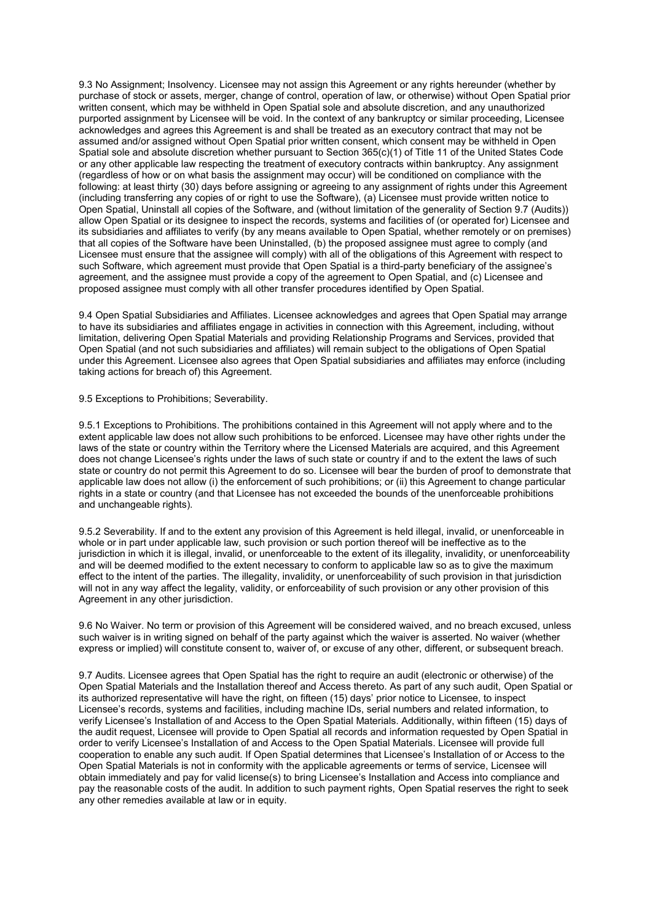9.3 No Assignment; Insolvency. Licensee may not assign this Agreement or any rights hereunder (whether by purchase of stock or assets, merger, change of control, operation of law, or otherwise) without Open Spatial prior written consent, which may be withheld in Open Spatial sole and absolute discretion, and any unauthorized purported assignment by Licensee will be void. In the context of any bankruptcy or similar proceeding, Licensee acknowledges and agrees this Agreement is and shall be treated as an executory contract that may not be assumed and/or assigned without Open Spatial prior written consent, which consent may be withheld in Open Spatial sole and absolute discretion whether pursuant to Section 365(c)(1) of Title 11 of the United States Code or any other applicable law respecting the treatment of executory contracts within bankruptcy. Any assignment (regardless of how or on what basis the assignment may occur) will be conditioned on compliance with the following: at least thirty (30) days before assigning or agreeing to any assignment of rights under this Agreement (including transferring any copies of or right to use the Software), (a) Licensee must provide written notice to Open Spatial, Uninstall all copies of the Software, and (without limitation of the generality of Section 9.7 (Audits)) allow Open Spatial or its designee to inspect the records, systems and facilities of (or operated for) Licensee and its subsidiaries and affiliates to verify (by any means available to Open Spatial, whether remotely or on premises) that all copies of the Software have been Uninstalled, (b) the proposed assignee must agree to comply (and Licensee must ensure that the assignee will comply) with all of the obligations of this Agreement with respect to such Software, which agreement must provide that Open Spatial is a third-party beneficiary of the assignee's agreement, and the assignee must provide a copy of the agreement to Open Spatial, and (c) Licensee and proposed assignee must comply with all other transfer procedures identified by Open Spatial.

9.4 Open Spatial Subsidiaries and Affiliates. Licensee acknowledges and agrees that Open Spatial may arrange to have its subsidiaries and affiliates engage in activities in connection with this Agreement, including, without limitation, delivering Open Spatial Materials and providing Relationship Programs and Services, provided that Open Spatial (and not such subsidiaries and affiliates) will remain subject to the obligations of Open Spatial under this Agreement. Licensee also agrees that Open Spatial subsidiaries and affiliates may enforce (including taking actions for breach of) this Agreement.

9.5 Exceptions to Prohibitions; Severability.

9.5.1 Exceptions to Prohibitions. The prohibitions contained in this Agreement will not apply where and to the extent applicable law does not allow such prohibitions to be enforced. Licensee may have other rights under the laws of the state or country within the Territory where the Licensed Materials are acquired, and this Agreement does not change Licensee's rights under the laws of such state or country if and to the extent the laws of such state or country do not permit this Agreement to do so. Licensee will bear the burden of proof to demonstrate that applicable law does not allow (i) the enforcement of such prohibitions; or (ii) this Agreement to change particular rights in a state or country (and that Licensee has not exceeded the bounds of the unenforceable prohibitions and unchangeable rights).

9.5.2 Severability. If and to the extent any provision of this Agreement is held illegal, invalid, or unenforceable in whole or in part under applicable law, such provision or such portion thereof will be ineffective as to the jurisdiction in which it is illegal, invalid, or unenforceable to the extent of its illegality, invalidity, or unenforceability and will be deemed modified to the extent necessary to conform to applicable law so as to give the maximum effect to the intent of the parties. The illegality, invalidity, or unenforceability of such provision in that jurisdiction will not in any way affect the legality, validity, or enforceability of such provision or any other provision of this Agreement in any other jurisdiction.

9.6 No Waiver. No term or provision of this Agreement will be considered waived, and no breach excused, unless such waiver is in writing signed on behalf of the party against which the waiver is asserted. No waiver (whether express or implied) will constitute consent to, waiver of, or excuse of any other, different, or subsequent breach.

9.7 Audits. Licensee agrees that Open Spatial has the right to require an audit (electronic or otherwise) of the Open Spatial Materials and the Installation thereof and Access thereto. As part of any such audit, Open Spatial or its authorized representative will have the right, on fifteen (15) days' prior notice to Licensee, to inspect Licensee's records, systems and facilities, including machine IDs, serial numbers and related information, to verify Licensee's Installation of and Access to the Open Spatial Materials. Additionally, within fifteen (15) days of the audit request, Licensee will provide to Open Spatial all records and information requested by Open Spatial in order to verify Licensee's Installation of and Access to the Open Spatial Materials. Licensee will provide full cooperation to enable any such audit. If Open Spatial determines that Licensee's Installation of or Access to the Open Spatial Materials is not in conformity with the applicable agreements or terms of service, Licensee will obtain immediately and pay for valid license(s) to bring Licensee's Installation and Access into compliance and pay the reasonable costs of the audit. In addition to such payment rights, Open Spatial reserves the right to seek any other remedies available at law or in equity.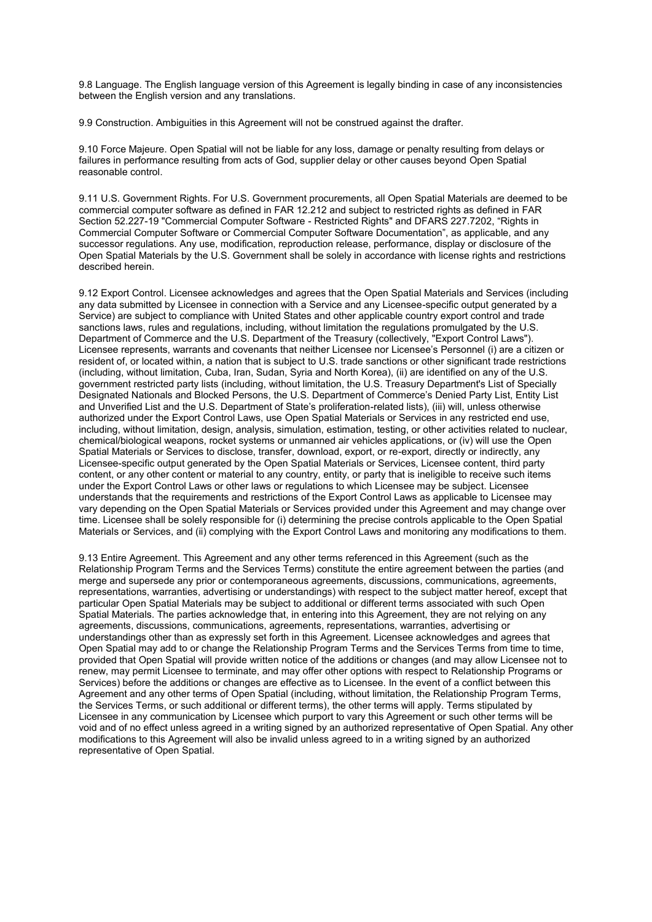9.8 Language. The English language version of this Agreement is legally binding in case of any inconsistencies between the English version and any translations.

9.9 Construction. Ambiguities in this Agreement will not be construed against the drafter.

9.10 Force Majeure. Open Spatial will not be liable for any loss, damage or penalty resulting from delays or failures in performance resulting from acts of God, supplier delay or other causes beyond Open Spatial reasonable control.

9.11 U.S. Government Rights. For U.S. Government procurements, all Open Spatial Materials are deemed to be commercial computer software as defined in FAR 12.212 and subject to restricted rights as defined in FAR Section 52.227-19 "Commercial Computer Software - Restricted Rights" and DFARS 227.7202, "Rights in Commercial Computer Software or Commercial Computer Software Documentation", as applicable, and any successor regulations. Any use, modification, reproduction release, performance, display or disclosure of the Open Spatial Materials by the U.S. Government shall be solely in accordance with license rights and restrictions described herein.

9.12 Export Control. Licensee acknowledges and agrees that the Open Spatial Materials and Services (including any data submitted by Licensee in connection with a Service and any Licensee-specific output generated by a Service) are subject to compliance with United States and other applicable country export control and trade sanctions laws, rules and regulations, including, without limitation the regulations promulgated by the U.S. Department of Commerce and the U.S. Department of the Treasury (collectively, "Export Control Laws"). Licensee represents, warrants and covenants that neither Licensee nor Licensee's Personnel (i) are a citizen or resident of, or located within, a nation that is subject to U.S. trade sanctions or other significant trade restrictions (including, without limitation, Cuba, Iran, Sudan, Syria and North Korea), (ii) are identified on any of the U.S. government restricted party lists (including, without limitation, the U.S. Treasury Department's List of Specially Designated Nationals and Blocked Persons, the U.S. Department of Commerce's Denied Party List, Entity List and Unverified List and the U.S. Department of State's proliferation-related lists), (iii) will, unless otherwise authorized under the Export Control Laws, use Open Spatial Materials or Services in any restricted end use, including, without limitation, design, analysis, simulation, estimation, testing, or other activities related to nuclear, chemical/biological weapons, rocket systems or unmanned air vehicles applications, or (iv) will use the Open Spatial Materials or Services to disclose, transfer, download, export, or re-export, directly or indirectly, any Licensee-specific output generated by the Open Spatial Materials or Services, Licensee content, third party content, or any other content or material to any country, entity, or party that is ineligible to receive such items under the Export Control Laws or other laws or regulations to which Licensee may be subject. Licensee understands that the requirements and restrictions of the Export Control Laws as applicable to Licensee may vary depending on the Open Spatial Materials or Services provided under this Agreement and may change over time. Licensee shall be solely responsible for (i) determining the precise controls applicable to the Open Spatial Materials or Services, and (ii) complying with the Export Control Laws and monitoring any modifications to them.

9.13 Entire Agreement. This Agreement and any other terms referenced in this Agreement (such as the Relationship Program Terms and the Services Terms) constitute the entire agreement between the parties (and merge and supersede any prior or contemporaneous agreements, discussions, communications, agreements, representations, warranties, advertising or understandings) with respect to the subject matter hereof, except that particular Open Spatial Materials may be subject to additional or different terms associated with such Open Spatial Materials. The parties acknowledge that, in entering into this Agreement, they are not relying on any agreements, discussions, communications, agreements, representations, warranties, advertising or understandings other than as expressly set forth in this Agreement. Licensee acknowledges and agrees that Open Spatial may add to or change the Relationship Program Terms and the Services Terms from time to time, provided that Open Spatial will provide written notice of the additions or changes (and may allow Licensee not to renew, may permit Licensee to terminate, and may offer other options with respect to Relationship Programs or Services) before the additions or changes are effective as to Licensee. In the event of a conflict between this Agreement and any other terms of Open Spatial (including, without limitation, the Relationship Program Terms, the Services Terms, or such additional or different terms), the other terms will apply. Terms stipulated by Licensee in any communication by Licensee which purport to vary this Agreement or such other terms will be void and of no effect unless agreed in a writing signed by an authorized representative of Open Spatial. Any other modifications to this Agreement will also be invalid unless agreed to in a writing signed by an authorized representative of Open Spatial.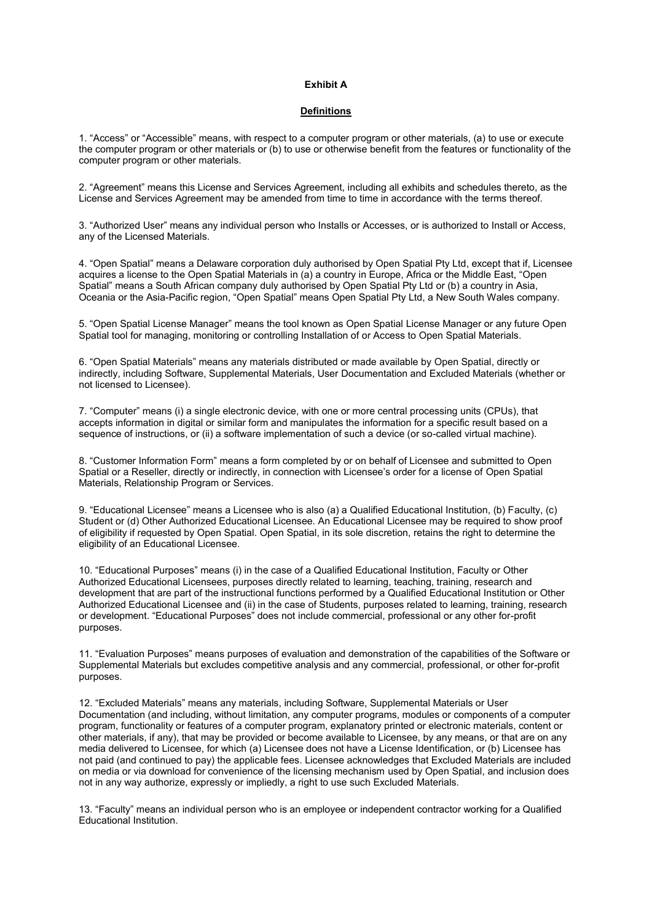#### **Exhibit A**

#### **Definitions**

1. "Access" or "Accessible" means, with respect to a computer program or other materials, (a) to use or execute the computer program or other materials or (b) to use or otherwise benefit from the features or functionality of the computer program or other materials.

2. "Agreement" means this License and Services Agreement, including all exhibits and schedules thereto, as the License and Services Agreement may be amended from time to time in accordance with the terms thereof.

3. "Authorized User" means any individual person who Installs or Accesses, or is authorized to Install or Access, any of the Licensed Materials.

4. "Open Spatial" means a Delaware corporation duly authorised by Open Spatial Pty Ltd, except that if, Licensee acquires a license to the Open Spatial Materials in (a) a country in Europe, Africa or the Middle East, "Open Spatial" means a South African company duly authorised by Open Spatial Pty Ltd or (b) a country in Asia, Oceania or the Asia-Pacific region, "Open Spatial" means Open Spatial Pty Ltd, a New South Wales company.

5. "Open Spatial License Manager" means the tool known as Open Spatial License Manager or any future Open Spatial tool for managing, monitoring or controlling Installation of or Access to Open Spatial Materials.

6. "Open Spatial Materials" means any materials distributed or made available by Open Spatial, directly or indirectly, including Software, Supplemental Materials, User Documentation and Excluded Materials (whether or not licensed to Licensee).

7. "Computer" means (i) a single electronic device, with one or more central processing units (CPUs), that accepts information in digital or similar form and manipulates the information for a specific result based on a sequence of instructions, or (ii) a software implementation of such a device (or so-called virtual machine).

8. "Customer Information Form" means a form completed by or on behalf of Licensee and submitted to Open Spatial or a Reseller, directly or indirectly, in connection with Licensee's order for a license of Open Spatial Materials, Relationship Program or Services.

9. "Educational Licensee" means a Licensee who is also (a) a Qualified Educational Institution, (b) Faculty, (c) Student or (d) Other Authorized Educational Licensee. An Educational Licensee may be required to show proof of eligibility if requested by Open Spatial. Open Spatial, in its sole discretion, retains the right to determine the eligibility of an Educational Licensee.

10. "Educational Purposes" means (i) in the case of a Qualified Educational Institution, Faculty or Other Authorized Educational Licensees, purposes directly related to learning, teaching, training, research and development that are part of the instructional functions performed by a Qualified Educational Institution or Other Authorized Educational Licensee and (ii) in the case of Students, purposes related to learning, training, research or development. "Educational Purposes" does not include commercial, professional or any other for-profit purposes.

11. "Evaluation Purposes" means purposes of evaluation and demonstration of the capabilities of the Software or Supplemental Materials but excludes competitive analysis and any commercial, professional, or other for-profit purposes.

12. "Excluded Materials" means any materials, including Software, Supplemental Materials or User Documentation (and including, without limitation, any computer programs, modules or components of a computer program, functionality or features of a computer program, explanatory printed or electronic materials, content or other materials, if any), that may be provided or become available to Licensee, by any means, or that are on any media delivered to Licensee, for which (a) Licensee does not have a License Identification, or (b) Licensee has not paid (and continued to pay) the applicable fees. Licensee acknowledges that Excluded Materials are included on media or via download for convenience of the licensing mechanism used by Open Spatial, and inclusion does not in any way authorize, expressly or impliedly, a right to use such Excluded Materials.

13. "Faculty" means an individual person who is an employee or independent contractor working for a Qualified Educational Institution.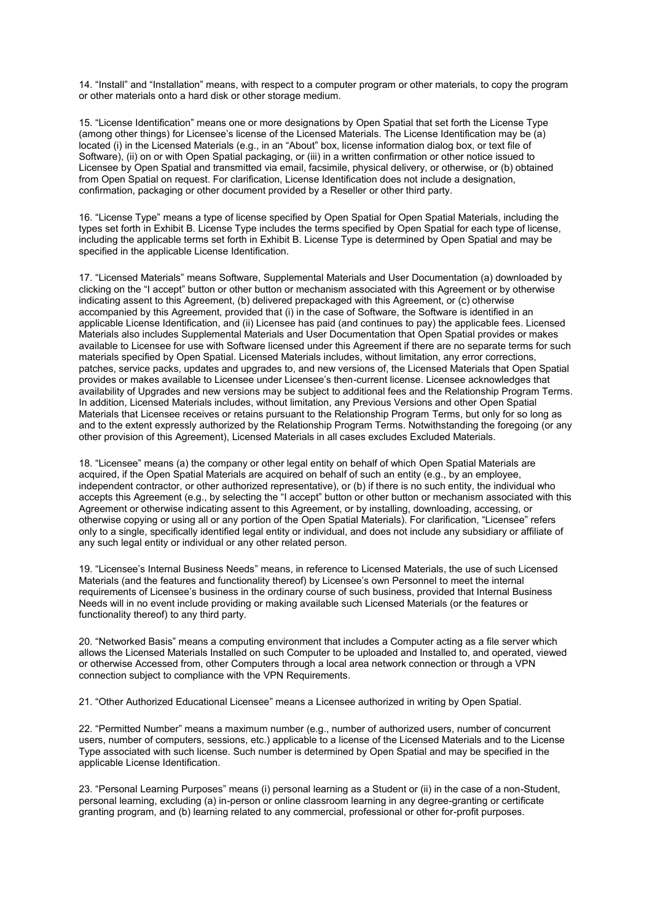14. "Install" and "Installation" means, with respect to a computer program or other materials, to copy the program or other materials onto a hard disk or other storage medium.

15. "License Identification" means one or more designations by Open Spatial that set forth the License Type (among other things) for Licensee's license of the Licensed Materials. The License Identification may be (a) located (i) in the Licensed Materials (e.g., in an "About" box, license information dialog box, or text file of Software), (ii) on or with Open Spatial packaging, or (iii) in a written confirmation or other notice issued to Licensee by Open Spatial and transmitted via email, facsimile, physical delivery, or otherwise, or (b) obtained from Open Spatial on request. For clarification, License Identification does not include a designation, confirmation, packaging or other document provided by a Reseller or other third party.

16. "License Type" means a type of license specified by Open Spatial for Open Spatial Materials, including the types set forth in Exhibit B. License Type includes the terms specified by Open Spatial for each type of license, including the applicable terms set forth in Exhibit B. License Type is determined by Open Spatial and may be specified in the applicable License Identification.

17. "Licensed Materials" means Software, Supplemental Materials and User Documentation (a) downloaded by clicking on the "I accept" button or other button or mechanism associated with this Agreement or by otherwise indicating assent to this Agreement, (b) delivered prepackaged with this Agreement, or (c) otherwise accompanied by this Agreement, provided that (i) in the case of Software, the Software is identified in an applicable License Identification, and (ii) Licensee has paid (and continues to pay) the applicable fees. Licensed Materials also includes Supplemental Materials and User Documentation that Open Spatial provides or makes available to Licensee for use with Software licensed under this Agreement if there are no separate terms for such materials specified by Open Spatial. Licensed Materials includes, without limitation, any error corrections, patches, service packs, updates and upgrades to, and new versions of, the Licensed Materials that Open Spatial provides or makes available to Licensee under Licensee's then-current license. Licensee acknowledges that availability of Upgrades and new versions may be subject to additional fees and the Relationship Program Terms. In addition, Licensed Materials includes, without limitation, any Previous Versions and other Open Spatial Materials that Licensee receives or retains pursuant to the Relationship Program Terms, but only for so long as and to the extent expressly authorized by the Relationship Program Terms. Notwithstanding the foregoing (or any other provision of this Agreement), Licensed Materials in all cases excludes Excluded Materials.

18. "Licensee" means (a) the company or other legal entity on behalf of which Open Spatial Materials are acquired, if the Open Spatial Materials are acquired on behalf of such an entity (e.g., by an employee, independent contractor, or other authorized representative), or (b) if there is no such entity, the individual who accepts this Agreement (e.g., by selecting the "I accept" button or other button or mechanism associated with this Agreement or otherwise indicating assent to this Agreement, or by installing, downloading, accessing, or otherwise copying or using all or any portion of the Open Spatial Materials). For clarification, "Licensee" refers only to a single, specifically identified legal entity or individual, and does not include any subsidiary or affiliate of any such legal entity or individual or any other related person.

19. "Licensee's Internal Business Needs" means, in reference to Licensed Materials, the use of such Licensed Materials (and the features and functionality thereof) by Licensee's own Personnel to meet the internal requirements of Licensee's business in the ordinary course of such business, provided that Internal Business Needs will in no event include providing or making available such Licensed Materials (or the features or functionality thereof) to any third party.

20. "Networked Basis" means a computing environment that includes a Computer acting as a file server which allows the Licensed Materials Installed on such Computer to be uploaded and Installed to, and operated, viewed or otherwise Accessed from, other Computers through a local area network connection or through a VPN connection subject to compliance with the VPN Requirements.

21. "Other Authorized Educational Licensee" means a Licensee authorized in writing by Open Spatial.

22. "Permitted Number" means a maximum number (e.g., number of authorized users, number of concurrent users, number of computers, sessions, etc.) applicable to a license of the Licensed Materials and to the License Type associated with such license. Such number is determined by Open Spatial and may be specified in the applicable License Identification.

23. "Personal Learning Purposes" means (i) personal learning as a Student or (ii) in the case of a non-Student, personal learning, excluding (a) in-person or online classroom learning in any degree-granting or certificate granting program, and (b) learning related to any commercial, professional or other for-profit purposes.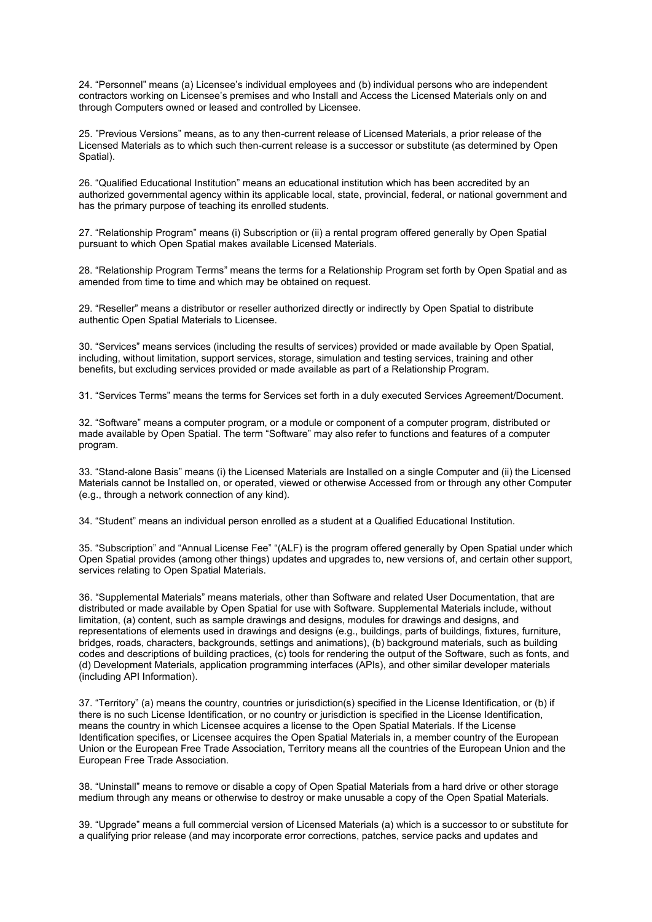24. "Personnel" means (a) Licensee's individual employees and (b) individual persons who are independent contractors working on Licensee's premises and who Install and Access the Licensed Materials only on and through Computers owned or leased and controlled by Licensee.

25. "Previous Versions" means, as to any then-current release of Licensed Materials, a prior release of the Licensed Materials as to which such then-current release is a successor or substitute (as determined by Open Spatial).

26. "Qualified Educational Institution" means an educational institution which has been accredited by an authorized governmental agency within its applicable local, state, provincial, federal, or national government and has the primary purpose of teaching its enrolled students.

27. "Relationship Program" means (i) Subscription or (ii) a rental program offered generally by Open Spatial pursuant to which Open Spatial makes available Licensed Materials.

28. "Relationship Program Terms" means the terms for a Relationship Program set forth by Open Spatial and as amended from time to time and which may be obtained on request.

29. "Reseller" means a distributor or reseller authorized directly or indirectly by Open Spatial to distribute authentic Open Spatial Materials to Licensee.

30. "Services" means services (including the results of services) provided or made available by Open Spatial, including, without limitation, support services, storage, simulation and testing services, training and other benefits, but excluding services provided or made available as part of a Relationship Program.

31. "Services Terms" means the terms for Services set forth in a duly executed Services Agreement/Document.

32. "Software" means a computer program, or a module or component of a computer program, distributed or made available by Open Spatial. The term "Software" may also refer to functions and features of a computer program.

33. "Stand-alone Basis" means (i) the Licensed Materials are Installed on a single Computer and (ii) the Licensed Materials cannot be Installed on, or operated, viewed or otherwise Accessed from or through any other Computer (e.g., through a network connection of any kind).

34. "Student" means an individual person enrolled as a student at a Qualified Educational Institution.

35. "Subscription" and "Annual License Fee" "(ALF) is the program offered generally by Open Spatial under which Open Spatial provides (among other things) updates and upgrades to, new versions of, and certain other support, services relating to Open Spatial Materials.

36. "Supplemental Materials" means materials, other than Software and related User Documentation, that are distributed or made available by Open Spatial for use with Software. Supplemental Materials include, without limitation, (a) content, such as sample drawings and designs, modules for drawings and designs, and representations of elements used in drawings and designs (e.g., buildings, parts of buildings, fixtures, furniture, bridges, roads, characters, backgrounds, settings and animations), (b) background materials, such as building codes and descriptions of building practices, (c) tools for rendering the output of the Software, such as fonts, and (d) Development Materials, application programming interfaces (APIs), and other similar developer materials (including API Information).

37. "Territory" (a) means the country, countries or jurisdiction(s) specified in the License Identification, or (b) if there is no such License Identification, or no country or jurisdiction is specified in the License Identification, means the country in which Licensee acquires a license to the Open Spatial Materials. If the License Identification specifies, or Licensee acquires the Open Spatial Materials in, a member country of the European Union or the European Free Trade Association, Territory means all the countries of the European Union and the European Free Trade Association.

38. "Uninstall" means to remove or disable a copy of Open Spatial Materials from a hard drive or other storage medium through any means or otherwise to destroy or make unusable a copy of the Open Spatial Materials.

39. "Upgrade" means a full commercial version of Licensed Materials (a) which is a successor to or substitute for a qualifying prior release (and may incorporate error corrections, patches, service packs and updates and